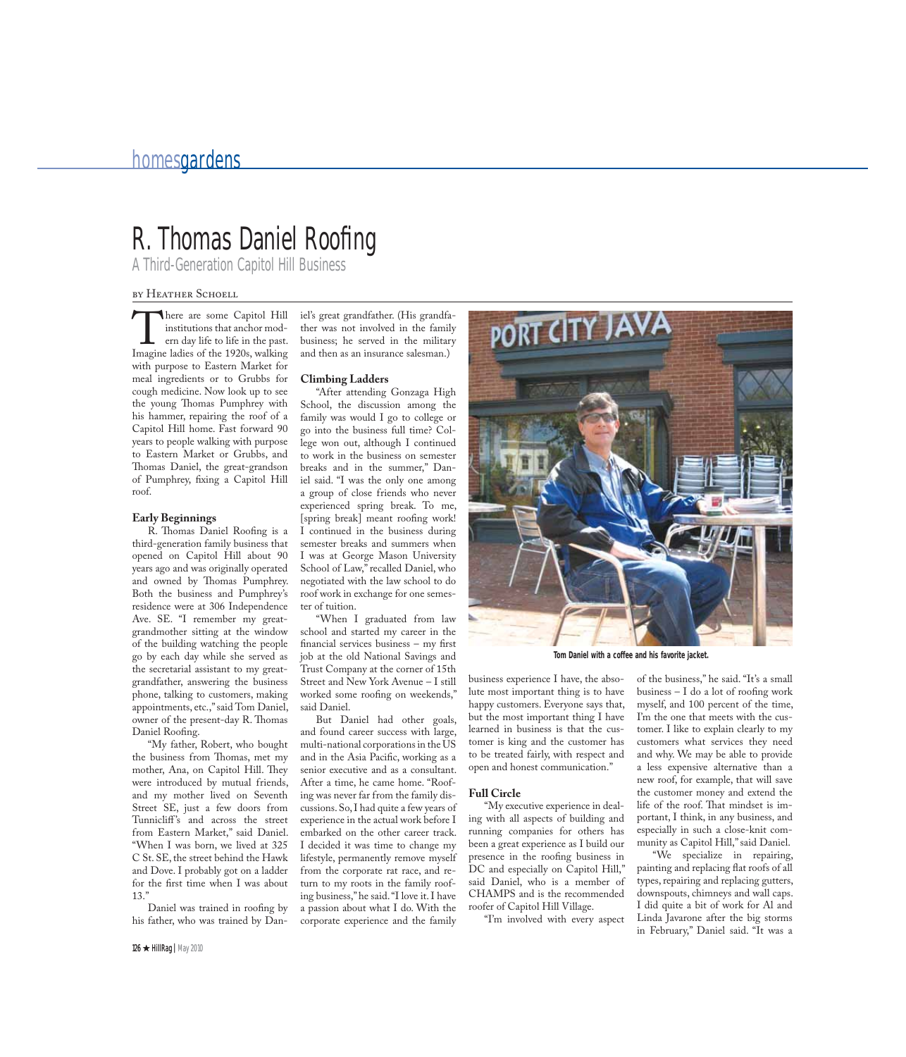## homesgardens

# R. Thomas Daniel Roofing

A Third-Generation Capitol Hill Business

### by HEATHER SCHOELL

There are some Capitol Hill institutions that anchor modern day life to life in the past. Imagine ladies of the 1920s, walking with purpose to Eastern Market for meal ingredients or to Grubbs for cough medicine. Now look up to see the young Thomas Pumphrey with his hammer, repairing the roof of a Capitol Hill home. Fast forward 90 years to people walking with purpose to Eastern Market or Grubbs, and Thomas Daniel, the great-grandson of Pumphrey, fixing a Capitol Hill roof.

#### **Early Beginnings**

R. Thomas Daniel Roofing is a third-generation family business that opened on Capitol Hill about 90 years ago and was originally operated and owned by Thomas Pumphrey. Both the business and Pumphrey's residence were at 306 Independence Ave. SE. "I remember my greatgrandmother sitting at the window of the building watching the people go by each day while she served as the secretarial assistant to my greatgrandfather, answering the business phone, talking to customers, making appointments, etc.," said Tom Daniel, owner of the present-day R. Thomas Daniel Roofing.

"My father, Robert, who bought the business from Thomas, met my mother, Ana, on Capitol Hill. They were introduced by mutual friends, and my mother lived on Seventh Street SE, just a few doors from Tunnicliff's and across the street from Eastern Market," said Daniel. "When I was born, we lived at 325 C St. SE, the street behind the Hawk and Dove. I probably got on a ladder for the first time when I was about 13."

Daniel was trained in roofing by his father, who was trained by Daniel's great grandfather. (His grandfather was not involved in the family business; he served in the military and then as an insurance salesman.)

#### **Climbing Ladders**

"After attending Gonzaga High School, the discussion among the family was would I go to college or go into the business full time? College won out, although I continued to work in the business on semester breaks and in the summer," Daniel said. "I was the only one among a group of close friends who never experienced spring break. To me, [spring break] meant roofing work! I continued in the business during semester breaks and summers when I was at George Mason University School of Law," recalled Daniel, who negotiated with the law school to do roof work in exchange for one semester of tuition.

"When I graduated from law school and started my career in the financial services business  $-$  my first job at the old National Savings and Trust Company at the corner of 15th Street and New York Avenue – I still worked some roofing on weekends," said Daniel.

But Daniel had other goals, and found career success with large, multi-national corporations in the  $\overline{US}$ and in the Asia Pacific, working as a senior executive and as a consultant. After a time, he came home. "Roofing was never far from the family discussions. So, I had quite a few years of experience in the actual work before I embarked on the other career track. I decided it was time to change my lifestyle, permanently remove myself from the corporate rat race, and return to my roots in the family roofing business," he said. "I love it. I have a passion about what I do. With the corporate experience and the family



**Tom Daniel with a coffee and his favorite jacket.**

business experience I have, the absolute most important thing is to have happy customers. Everyone says that, but the most important thing I have learned in business is that the customer is king and the customer has to be treated fairly, with respect and open and honest communication."

#### **Full Circle**

"My executive experience in dealing with all aspects of building and running companies for others has been a great experience as I build our presence in the roofing business in DC and especially on Capitol Hill," said Daniel, who is a member of CHAMPS and is the recommended roofer of Capitol Hill Village.

"I'm involved with every aspect

of the business," he said. "It's a small  $b$ usiness  $- I$  do a lot of roofing work myself, and 100 percent of the time, I'm the one that meets with the customer. I like to explain clearly to my customers what services they need and why. We may be able to provide a less expensive alternative than a new roof, for example, that will save the customer money and extend the life of the roof. That mindset is important, I think, in any business, and especially in such a close-knit community as Capitol Hill," said Daniel.

"We specialize in repairing, painting and replacing flat roofs of all types, repairing and replacing gutters, downspouts, chimneys and wall caps. I did quite a bit of work for Al and Linda Javarone after the big storms in February," Daniel said. "It was a